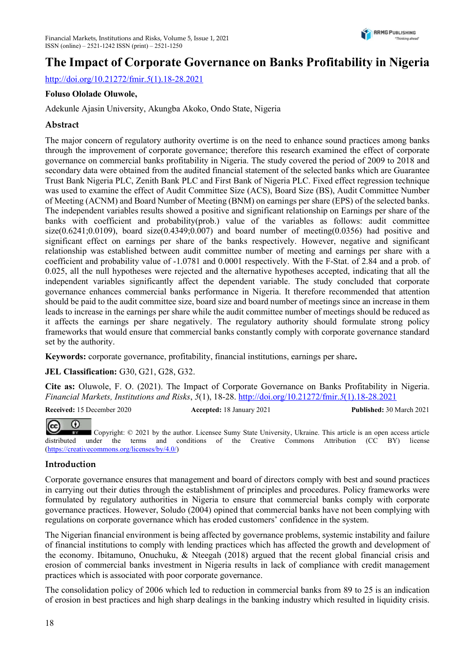

# The Impact of Corporate Governance on Banks Profitability in Nigeria

http://doi.org/10.21272/fmir.5(1).18-28.2021

#### Foluso Ololade Oluwole,

Adekunle Ajasin University, Akungba Akoko, Ondo State, Nigeria

#### Abstract

The major concern of regulatory authority overtime is on the need to enhance sound practices among banks through the improvement of corporate governance; therefore this research examined the effect of corporate governance on commercial banks profitability in Nigeria. The study covered the period of 2009 to 2018 and secondary data were obtained from the audited financial statement of the selected banks which are Guarantee Trust Bank Nigeria PLC, Zenith Bank PLC and First Bank of Nigeria PLC. Fixed effect regression technique was used to examine the effect of Audit Committee Size (ACS), Board Size (BS), Audit Committee Number of Meeting (ACNM) and Board Number of Meeting (BNM) on earnings per share (EPS) of the selected banks. The independent variables results showed a positive and significant relationship on Earnings per share of the banks with coefficient and probability(prob.) value of the variables as follows: audit committee size( $0.6241$ ; $0.0109$ ), board size( $0.4349$ ; $0.007$ ) and board number of meeting( $0.0356$ ) had positive and significant effect on earnings per share of the banks respectively. However, negative and significant relationship was established between audit committee number of meeting and earnings per share with a coefficient and probability value of -1.0781 and 0.0001 respectively. With the F-Stat. of 2.84 and a prob. of 0.025, all the null hypotheses were rejected and the alternative hypotheses accepted, indicating that all the independent variables significantly affect the dependent variable. The study concluded that corporate governance enhances commercial banks performance in Nigeria. It therefore recommended that attention should be paid to the audit committee size, board size and board number of meetings since an increase in them leads to increase in the earnings per share while the audit committee number of meetings should be reduced as it affects the earnings per share negatively. The regulatory authority should formulate strong policy frameworks that would ensure that commercial banks constantly comply with corporate governance standard set by the authority.

Keywords: corporate governance, profitability, financial institutions, earnings per share.

#### JEL Classification: G30, G21, G28, G32.

Cite as: Oluwole, F. O. (2021). The Impact of Corporate Governance on Banks Profitability in Nigeria. Financial Markets, Institutions and Risks, 5(1), 18-28. http://doi.org/10.21272/fmir.5(1).18-28.2021

Received: 15 December 2020 Accepted: 18 January 2021 Published: 30 March 2021



 Copyright: © 2021 by the author. Licensee Sumy State University, Ukraine. This article is an open access article distributed under the terms and conditions of the Creative Commons Attribution (CC BY) license (https://creativecommons.org/licenses/by/4.0/)

#### Introduction

Corporate governance ensures that management and board of directors comply with best and sound practices in carrying out their duties through the establishment of principles and procedures. Policy frameworks were formulated by regulatory authorities in Nigeria to ensure that commercial banks comply with corporate governance practices. However, Soludo (2004) opined that commercial banks have not been complying with regulations on corporate governance which has eroded customers' confidence in the system.

The Nigerian financial environment is being affected by governance problems, systemic instability and failure of financial institutions to comply with lending practices which has affected the growth and development of the economy. Ibitamuno, Onuchuku, & Nteegah (2018) argued that the recent global financial crisis and erosion of commercial banks investment in Nigeria results in lack of compliance with credit management practices which is associated with poor corporate governance.

The consolidation policy of 2006 which led to reduction in commercial banks from 89 to 25 is an indication of erosion in best practices and high sharp dealings in the banking industry which resulted in liquidity crisis.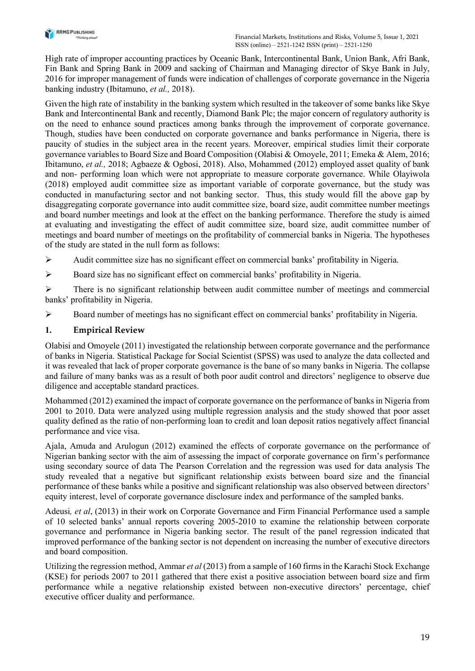

High rate of improper accounting practices by Oceanic Bank, Intercontinental Bank, Union Bank, Afri Bank, Fin Bank and Spring Bank in 2009 and sacking of Chairman and Managing director of Skye Bank in July, 2016 for improper management of funds were indication of challenges of corporate governance in the Nigeria banking industry (Ibitamuno, et al., 2018).

Given the high rate of instability in the banking system which resulted in the takeover of some banks like Skye Bank and Intercontinental Bank and recently, Diamond Bank Plc; the major concern of regulatory authority is on the need to enhance sound practices among banks through the improvement of corporate governance. Though, studies have been conducted on corporate governance and banks performance in Nigeria, there is paucity of studies in the subject area in the recent years. Moreover, empirical studies limit their corporate governance variables to Board Size and Board Composition (Olabisi & Omoyele, 2011; Emeka & Alem, 2016; Ibitamuno, et al., 2018; Agbaeze & Ogbosi, 2018). Also, Mohammed (2012) employed asset quality of bank and non- performing loan which were not appropriate to measure corporate governance. While Olayiwola (2018) employed audit committee size as important variable of corporate governance, but the study was conducted in manufacturing sector and not banking sector. Thus, this study would fill the above gap by disaggregating corporate governance into audit committee size, board size, audit committee number meetings and board number meetings and look at the effect on the banking performance. Therefore the study is aimed at evaluating and investigating the effect of audit committee size, board size, audit committee number of meetings and board number of meetings on the profitability of commercial banks in Nigeria. The hypotheses of the study are stated in the null form as follows:

Audit committee size has no significant effect on commercial banks' profitability in Nigeria.

Board size has no significant effect on commercial banks' profitability in Nigeria.

 $\triangleright$  There is no significant relationship between audit committee number of meetings and commercial banks' profitability in Nigeria.

Board number of meetings has no significant effect on commercial banks' profitability in Nigeria.

## 1. Empirical Review

Olabisi and Omoyele (2011) investigated the relationship between corporate governance and the performance of banks in Nigeria. Statistical Package for Social Scientist (SPSS) was used to analyze the data collected and it was revealed that lack of proper corporate governance is the bane of so many banks in Nigeria. The collapse and failure of many banks was as a result of both poor audit control and directors' negligence to observe due diligence and acceptable standard practices.

Mohammed (2012) examined the impact of corporate governance on the performance of banks in Nigeria from 2001 to 2010. Data were analyzed using multiple regression analysis and the study showed that poor asset quality defined as the ratio of non-performing loan to credit and loan deposit ratios negatively affect financial performance and vice visa.

Ajala, Amuda and Arulogun (2012) examined the effects of corporate governance on the performance of Nigerian banking sector with the aim of assessing the impact of corporate governance on firm's performance using secondary source of data The Pearson Correlation and the regression was used for data analysis The study revealed that a negative but significant relationship exists between board size and the financial performance of these banks while a positive and significant relationship was also observed between directors' equity interest, level of corporate governance disclosure index and performance of the sampled banks.

Adeusi, et al, (2013) in their work on Corporate Governance and Firm Financial Performance used a sample of 10 selected banks' annual reports covering 2005-2010 to examine the relationship between corporate governance and performance in Nigeria banking sector. The result of the panel regression indicated that improved performance of the banking sector is not dependent on increasing the number of executive directors and board composition.

Utilizing the regression method, Ammar et al (2013) from a sample of 160 firms in the Karachi Stock Exchange (KSE) for periods 2007 to 2011 gathered that there exist a positive association between board size and firm performance while a negative relationship existed between non-executive directors' percentage, chief executive officer duality and performance.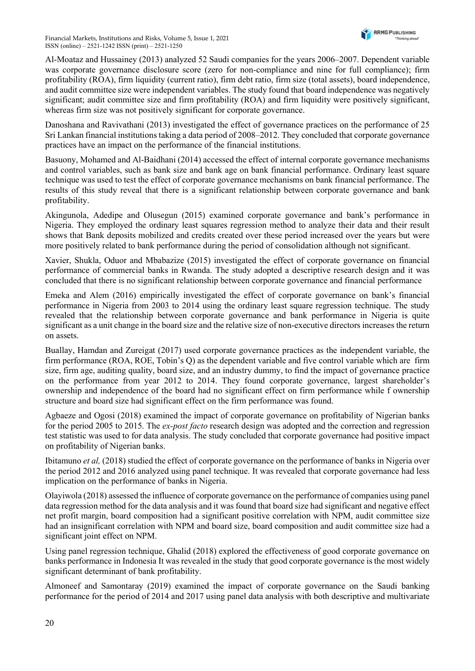Al-Moataz and Hussainey (2013) analyzed 52 Saudi companies for the years 2006–2007. Dependent variable was corporate governance disclosure score (zero for non-compliance and nine for full compliance); firm profitability (ROA), firm liquidity (current ratio), firm debt ratio, firm size (total assets), board independence, and audit committee size were independent variables. The study found that board independence was negatively significant; audit committee size and firm profitability (ROA) and firm liquidity were positively significant, whereas firm size was not positively significant for corporate governance.

Danoshana and Ravivathani (2013) investigated the effect of governance practices on the performance of 25 Sri Lankan financial institutions taking a data period of 2008–2012. They concluded that corporate governance practices have an impact on the performance of the financial institutions.

Basuony, Mohamed and Al-Baidhani (2014) accessed the effect of internal corporate governance mechanisms and control variables, such as bank size and bank age on bank financial performance. Ordinary least square technique was used to test the effect of corporate governance mechanisms on bank financial performance. The results of this study reveal that there is a significant relationship between corporate governance and bank profitability.

Akingunola, Adedipe and Olusegun (2015) examined corporate governance and bank's performance in Nigeria. They employed the ordinary least squares regression method to analyze their data and their result shows that Bank deposits mobilized and credits created over these period increased over the years but were more positively related to bank performance during the period of consolidation although not significant.

Xavier, Shukla, Oduor and Mbabazize (2015) investigated the effect of corporate governance on financial performance of commercial banks in Rwanda. The study adopted a descriptive research design and it was concluded that there is no significant relationship between corporate governance and financial performance

Emeka and Alem (2016) empirically investigated the effect of corporate governance on bank's financial performance in Nigeria from 2003 to 2014 using the ordinary least square regression technique. The study revealed that the relationship between corporate governance and bank performance in Nigeria is quite significant as a unit change in the board size and the relative size of non-executive directors increases the return on assets.

Buallay, Hamdan and Zureigat (2017) used corporate governance practices as the independent variable, the firm performance (ROA, ROE, Tobin's Q) as the dependent variable and five control variable which are firm size, firm age, auditing quality, board size, and an industry dummy, to find the impact of governance practice on the performance from year 2012 to 2014. They found corporate governance, largest shareholder's ownership and independence of the board had no significant effect on firm performance while f ownership structure and board size had significant effect on the firm performance was found.

Agbaeze and Ogosi (2018) examined the impact of corporate governance on profitability of Nigerian banks for the period 2005 to 2015. The *ex-post facto* research design was adopted and the correction and regression test statistic was used to for data analysis. The study concluded that corporate governance had positive impact on profitability of Nigerian banks.

Ibitamuno et al, (2018) studied the effect of corporate governance on the performance of banks in Nigeria over the period 2012 and 2016 analyzed using panel technique. It was revealed that corporate governance had less implication on the performance of banks in Nigeria.

Olayiwola (2018) assessed the influence of corporate governance on the performance of companies using panel data regression method for the data analysis and it was found that board size had significant and negative effect net profit margin, board composition had a significant positive correlation with NPM, audit committee size had an insignificant correlation with NPM and board size, board composition and audit committee size had a significant joint effect on NPM.

Using panel regression technique, Ghalid (2018) explored the effectiveness of good corporate governance on banks performance in Indonesia It was revealed in the study that good corporate governance is the most widely significant determinant of bank profitability.

Almoneef and Samontaray (2019) examined the impact of corporate governance on the Saudi banking performance for the period of 2014 and 2017 using panel data analysis with both descriptive and multivariate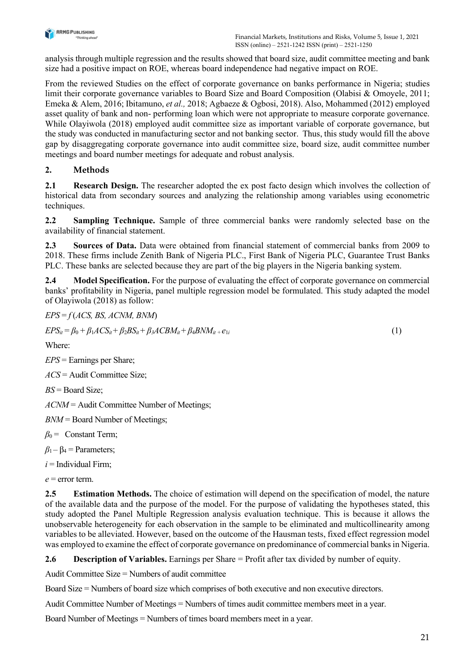

analysis through multiple regression and the results showed that board size, audit committee meeting and bank size had a positive impact on ROE, whereas board independence had negative impact on ROE.

From the reviewed Studies on the effect of corporate governance on banks performance in Nigeria; studies limit their corporate governance variables to Board Size and Board Composition (Olabisi & Omoyele, 2011; Emeka & Alem, 2016; Ibitamuno, et al., 2018; Agbaeze & Ogbosi, 2018). Also, Mohammed (2012) employed asset quality of bank and non- performing loan which were not appropriate to measure corporate governance. While Olayiwola (2018) employed audit committee size as important variable of corporate governance, but the study was conducted in manufacturing sector and not banking sector. Thus, this study would fill the above gap by disaggregating corporate governance into audit committee size, board size, audit committee number meetings and board number meetings for adequate and robust analysis.

# 2. Methods

2.1 Research Design. The researcher adopted the ex post facto design which involves the collection of historical data from secondary sources and analyzing the relationship among variables using econometric techniques.

2.2 Sampling Technique. Sample of three commercial banks were randomly selected base on the availability of financial statement.

2.3 Sources of Data. Data were obtained from financial statement of commercial banks from 2009 to 2018. These firms include Zenith Bank of Nigeria PLC., First Bank of Nigeria PLC, Guarantee Trust Banks PLC. These banks are selected because they are part of the big players in the Nigeria banking system.

2.4 Model Specification. For the purpose of evaluating the effect of corporate governance on commercial banks' profitability in Nigeria, panel multiple regression model be formulated. This study adapted the model of Olayiwola (2018) as follow:

 $EPS = f(ACS, BS, ACM, BNM)$ 

 $EPS_{it} = \beta_0 + \beta_1 ACS_{it} + \beta_2 BS_{it} + \beta_3 ACBM_{it} + \beta_4 BNM_{it} + e_{1i}$  (1)

Where:

 $EPS =$  Earnings per Share;

 $ACS =$  Audit Committee Size;

 $BS =$ Board Size:

ACNM = Audit Committee Number of Meetings;

 $BNM =$ Board Number of Meetings;

 $\beta_0$  = Constant Term;

 $\beta_1 - \beta_4 =$  Parameters;

 $i =$ Individual Firm;

 $e$  = error term.

2.5 Estimation Methods. The choice of estimation will depend on the specification of model, the nature of the available data and the purpose of the model. For the purpose of validating the hypotheses stated, this study adopted the Panel Multiple Regression analysis evaluation technique. This is because it allows the unobservable heterogeneity for each observation in the sample to be eliminated and multicollinearity among variables to be alleviated. However, based on the outcome of the Hausman tests, fixed effect regression model was employed to examine the effect of corporate governance on predominance of commercial banks in Nigeria.

2.6 Description of Variables. Earnings per Share = Profit after tax divided by number of equity.

Audit Committee Size = Numbers of audit committee

Board Size = Numbers of board size which comprises of both executive and non executive directors.

Audit Committee Number of Meetings = Numbers of times audit committee members meet in a year.

Board Number of Meetings = Numbers of times board members meet in a year.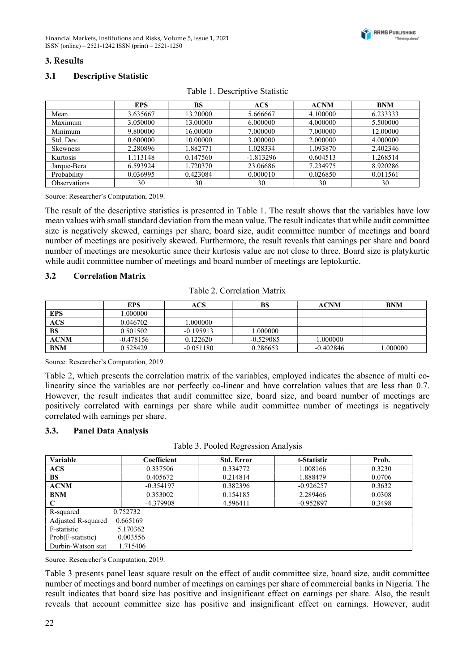#### 3. Results

#### 3.1 Descriptive Statistic

|              | <b>EPS</b> | <b>BS</b> | ACS         | <b>ACNM</b> | <b>BNM</b> |
|--------------|------------|-----------|-------------|-------------|------------|
| Mean         | 3.635667   | 13.20000  | 5.666667    | 4.100000    | 6.233333   |
| Maximum      | 3.050000   | 13.00000  | 6.000000    | 4.000000    | 5.500000   |
| Minimum      | 9.800000   | 16.00000  | 7.000000    | 7.000000    | 12.00000   |
| Std. Dev.    | 0.600000   | 10.00000  | 3.000000    | 2.000000    | 4.000000   |
| Skewness     | 2.280896   | 1.882771  | 1.028334    | 1.093870    | 2.402346   |
| Kurtosis     | 1.113148   | 0.147560  | $-1.813296$ | 0.604513    | 1.268514   |
| Jarque-Bera  | 6.593924   | 1.720370  | 23.06686    | 7.234975    | 8.920286   |
| Probability  | 0.036995   | 0.423084  | 0.000010    | 0.026850    | 0.011561   |
| Observations | 30         | 30        | 30          | 30          | 30         |

| Table 1. Descriptive Statistic |  |
|--------------------------------|--|
|                                |  |

Source: Researcher's Computation, 2019.

The result of the descriptive statistics is presented in Table 1. The result shows that the variables have low mean values with small standard deviation from the mean value. The result indicates that while audit committee size is negatively skewed, earnings per share, board size, audit committee number of meetings and board number of meetings are positively skewed. Furthermore, the result reveals that earnings per share and board number of meetings are mesokurtic since their kurtosis value are not close to three. Board size is platykurtic while audit committee number of meetings and board number of meetings are leptokurtic.

#### 3.2 Correlation Matrix

|  | Table 2. Correlation Matrix |
|--|-----------------------------|
|--|-----------------------------|

|             | EPS         | ACS         | BS          | <b>ACNM</b> | <b>BNM</b> |
|-------------|-------------|-------------|-------------|-------------|------------|
| <b>EPS</b>  | .000000     |             |             |             |            |
| <b>ACS</b>  | 0.046702    | $000000$ .  |             |             |            |
| <b>BS</b>   | 0.501502    | $-0.195913$ | .000000     |             |            |
| <b>ACNM</b> | $-0.478156$ | 0.122620    | $-0.529085$ | .000000     |            |
| <b>BNM</b>  | 0.528429    | $-0.051180$ | 0.286653    | $-0.402846$ | .000000    |

Source: Researcher's Computation, 2019.

Table 2, which presents the correlation matrix of the variables, employed indicates the absence of multi colinearity since the variables are not perfectly co-linear and have correlation values that are less than 0.7. However, the result indicates that audit committee size, board size, and board number of meetings are positively correlated with earnings per share while audit committee number of meetings is negatively correlated with earnings per share.

#### 3.3. Panel Data Analysis

| Table 3. Pooled Regression Analysis |  |  |  |  |
|-------------------------------------|--|--|--|--|
|-------------------------------------|--|--|--|--|

| Variable           | Coefficient | <b>Std. Error</b> | t-Statistic | Prob.  |
|--------------------|-------------|-------------------|-------------|--------|
| <b>ACS</b>         | 0.337506    | 0.334772          | 1.008166    | 0.3230 |
| <b>BS</b>          | 0.405672    | 0.214814          | 1.888479    | 0.0706 |
| <b>ACNM</b>        | $-0.354197$ | 0.382396          | $-0.926257$ | 0.3632 |
| <b>BNM</b>         | 0.353002    | 0.154185          | 2.289466    | 0.0308 |
| C                  | -4.379908   | 4.596411          | $-0.952897$ | 0.3498 |
| R-squared          | 0.752732    |                   |             |        |
| Adjusted R-squared | 0.665169    |                   |             |        |
| F-statistic        | 5.170362    |                   |             |        |
| Prob(F-statistic)  | 0.003556    |                   |             |        |
| Durbin-Watson stat | 1.715406    |                   |             |        |

Source: Researcher's Computation, 2019.

Table 3 presents panel least square result on the effect of audit committee size, board size, audit committee number of meetings and board number of meetings on earnings per share of commercial banks in Nigeria. The result indicates that board size has positive and insignificant effect on earnings per share. Also, the result reveals that account committee size has positive and insignificant effect on earnings. However, audit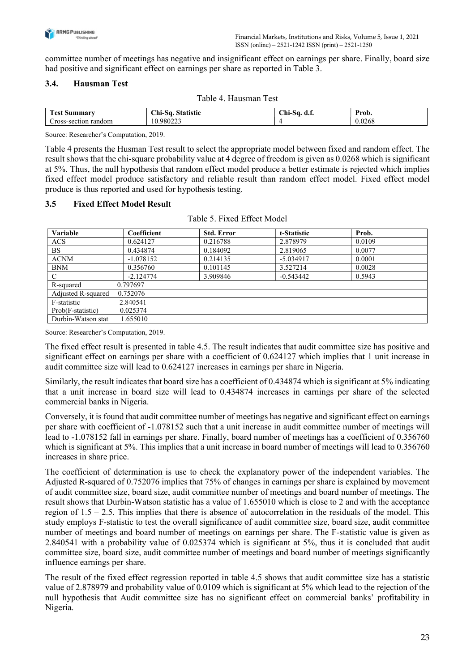

committee number of meetings has negative and insignificant effect on earnings per share. Finally, board size had positive and significant effect on earnings per share as reported in Table 3.

## 3.4. Hausman Test

| <b>CONTRACTOR</b><br>rest<br><br>шша | $\sim$<br>. .<br>. ni-Sa<br>™etir<br>шэш | $\sim$<br>ъ.<br>∪ш∙<br>ാധ<br>. м. н. | Prob.            |
|--------------------------------------|------------------------------------------|--------------------------------------|------------------|
| Cross<br>random<br>-section          | 1000022<br>10.980 <i>223</i>             |                                      | $\sim$<br>U.∪∠0δ |

Source: Researcher's Computation, 2019.

Table 4 presents the Husman Test result to select the appropriate model between fixed and random effect. The result shows that the chi-square probability value at 4 degree of freedom is given as 0.0268 which is significant at 5%. Thus, the null hypothesis that random effect model produce a better estimate is rejected which implies fixed effect model produce satisfactory and reliable result than random effect model. Fixed effect model produce is thus reported and used for hypothesis testing.

#### 3.5 Fixed Effect Model Result

| Variable           | Coefficient | <b>Std. Error</b> | t-Statistic | Prob.  |
|--------------------|-------------|-------------------|-------------|--------|
| <b>ACS</b>         | 0.624127    | 0.216788          | 2.878979    | 0.0109 |
| <b>BS</b>          | 0.434874    | 0.184092          | 2.819065    | 0.0077 |
| <b>ACNM</b>        | $-1.078152$ | 0.214135          | $-5.034917$ | 0.0001 |
| <b>BNM</b>         | 0.356760    | 0.101145          | 3.527214    | 0.0028 |
| $\mathcal{C}$      | $-2.124774$ | 3.909846          | $-0.543442$ | 0.5943 |
| R-squared          | 0.797697    |                   |             |        |
| Adjusted R-squared | 0.752076    |                   |             |        |
| F-statistic        | 2.840541    |                   |             |        |
| Prob(F-statistic)  | 0.025374    |                   |             |        |
| Durbin-Watson stat | 1.655010    |                   |             |        |

Table 5. Fixed Effect Model

Source: Researcher's Computation, 2019.

The fixed effect result is presented in table 4.5. The result indicates that audit committee size has positive and significant effect on earnings per share with a coefficient of 0.624127 which implies that 1 unit increase in audit committee size will lead to 0.624127 increases in earnings per share in Nigeria.

Similarly, the result indicates that board size has a coefficient of 0.434874 which is significant at 5% indicating that a unit increase in board size will lead to 0.434874 increases in earnings per share of the selected commercial banks in Nigeria.

Conversely, it is found that audit committee number of meetings has negative and significant effect on earnings per share with coefficient of -1.078152 such that a unit increase in audit committee number of meetings will lead to -1.078152 fall in earnings per share. Finally, board number of meetings has a coefficient of 0.356760 which is significant at 5%. This implies that a unit increase in board number of meetings will lead to 0.356760 increases in share price.

The coefficient of determination is use to check the explanatory power of the independent variables. The Adjusted R-squared of 0.752076 implies that 75% of changes in earnings per share is explained by movement of audit committee size, board size, audit committee number of meetings and board number of meetings. The result shows that Durbin-Watson statistic has a value of 1.655010 which is close to 2 and with the acceptance region of  $1.5 - 2.5$ . This implies that there is absence of autocorrelation in the residuals of the model. This study employs F-statistic to test the overall significance of audit committee size, board size, audit committee number of meetings and board number of meetings on earnings per share. The F-statistic value is given as 2.840541 with a probability value of 0.025374 which is significant at 5%, thus it is concluded that audit committee size, board size, audit committee number of meetings and board number of meetings significantly influence earnings per share.

The result of the fixed effect regression reported in table 4.5 shows that audit committee size has a statistic value of 2.878979 and probability value of 0.0109 which is significant at 5% which lead to the rejection of the null hypothesis that Audit committee size has no significant effect on commercial banks' profitability in Nigeria.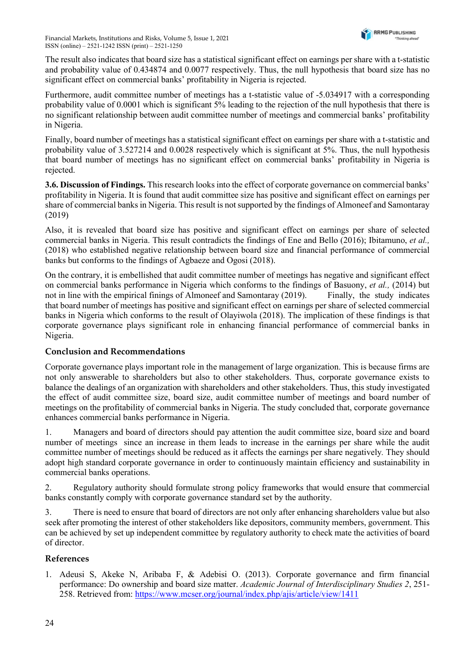The result also indicates that board size has a statistical significant effect on earnings per share with a t-statistic and probability value of 0.434874 and 0.0077 respectively. Thus, the null hypothesis that board size has no significant effect on commercial banks' profitability in Nigeria is rejected.

Furthermore, audit committee number of meetings has a t-statistic value of -5.034917 with a corresponding probability value of 0.0001 which is significant 5% leading to the rejection of the null hypothesis that there is no significant relationship between audit committee number of meetings and commercial banks' profitability in Nigeria.

Finally, board number of meetings has a statistical significant effect on earnings per share with a t-statistic and probability value of 3.527214 and 0.0028 respectively which is significant at 5%. Thus, the null hypothesis that board number of meetings has no significant effect on commercial banks' profitability in Nigeria is rejected.

3.6. Discussion of Findings. This research looks into the effect of corporate governance on commercial banks' profitability in Nigeria. It is found that audit committee size has positive and significant effect on earnings per share of commercial banks in Nigeria. This result is not supported by the findings of Almoneef and Samontaray (2019)

Also, it is revealed that board size has positive and significant effect on earnings per share of selected commercial banks in Nigeria. This result contradicts the findings of Ene and Bello (2016); Ibitamuno, et al., (2018) who established negative relationship between board size and financial performance of commercial banks but conforms to the findings of Agbaeze and Ogosi (2018).

On the contrary, it is embellished that audit committee number of meetings has negative and significant effect on commercial banks performance in Nigeria which conforms to the findings of Basuony, et al., (2014) but not in line with the empirical finings of Almoneef and Samontaray (2019). Finally, the study indicates that board number of meetings has positive and significant effect on earnings per share of selected commercial banks in Nigeria which conforms to the result of Olayiwola (2018). The implication of these findings is that corporate governance plays significant role in enhancing financial performance of commercial banks in Nigeria.

## Conclusion and Recommendations

Corporate governance plays important role in the management of large organization. This is because firms are not only answerable to shareholders but also to other stakeholders. Thus, corporate governance exists to balance the dealings of an organization with shareholders and other stakeholders. Thus, this study investigated the effect of audit committee size, board size, audit committee number of meetings and board number of meetings on the profitability of commercial banks in Nigeria. The study concluded that, corporate governance enhances commercial banks performance in Nigeria.

1. Managers and board of directors should pay attention the audit committee size, board size and board number of meetings since an increase in them leads to increase in the earnings per share while the audit committee number of meetings should be reduced as it affects the earnings per share negatively. They should adopt high standard corporate governance in order to continuously maintain efficiency and sustainability in commercial banks operations.

2. Regulatory authority should formulate strong policy frameworks that would ensure that commercial banks constantly comply with corporate governance standard set by the authority.

3. There is need to ensure that board of directors are not only after enhancing shareholders value but also seek after promoting the interest of other stakeholders like depositors, community members, government. This can be achieved by set up independent committee by regulatory authority to check mate the activities of board of director.

#### References

1. Adeusi S, Akeke N, Aribaba F, & Adebisi O. (2013). Corporate governance and firm financial performance: Do ownership and board size matter. Academic Journal of Interdisciplinary Studies 2, 251- 258. Retrieved from: https://www.mcser.org/journal/index.php/ajis/article/view/1411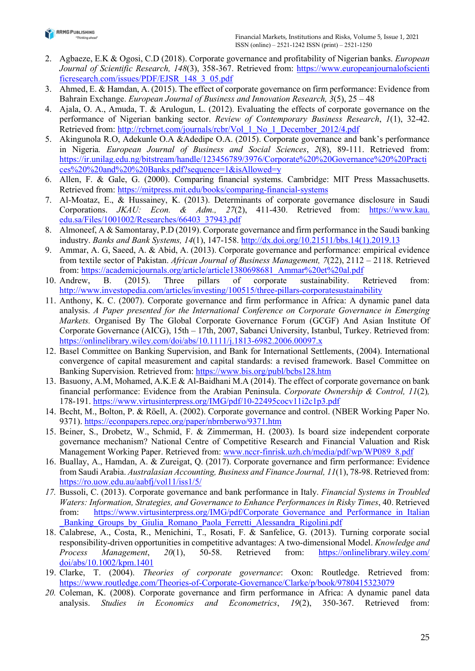

- 2. Agbaeze, E.K & Ogosi, C.D (2018). Corporate governance and profitability of Nigerian banks. European Journal of Scientific Research, 148(3), 358-367. Retrieved from: https://www.europeanjournalofscienti ficresearch.com/issues/PDF/EJSR\_148\_3\_05.pdf
- 3. Ahmed, E. & Hamdan, A. (2015). The effect of corporate governance on firm performance: Evidence from Bahrain Exchange. European Journal of Business and Innovation Research, 3(5), 25 – 48
- 4. Ajala, O. A., Amuda, T. & Arulogun, L. (2012). Evaluating the effects of corporate governance on the performance of Nigerian banking sector. Review of Contemporary Business Research, 1(1), 32-42. Retrieved from: http://rcbrnet.com/journals/rcbr/Vol\_1\_No\_1\_December\_2012/4.pdf
- 5. Akingunola R.O, Adekunle O.A &Adedipe O.A. (2015). Corporate governance and bank's performance in Nigeria. European Journal of Business and Social Sciences, 2(8), 89-111. Retrieved from: https://ir.unilag.edu.ng/bitstream/handle/123456789/3976/Corporate%20%20Governance%20%20Practi ces%20%20and%20%20Banks.pdf?sequence=1&isAllowed=y
- 6. Allen, F. & Gale, G. (2000). Comparing financial systems. Cambridge: MIT Press Massachusetts. Retrieved from: https://mitpress.mit.edu/books/comparing-financial-systems
- 7. Al-Moataz, E., & Hussainey, K. (2013). Determinants of corporate governance disclosure in Saudi Corporations. JKAU: Econ. & Adm., 27(2), 411-430. Retrieved from: https://www.kau. edu.sa/Files/1001002/Researches/66403\_37943.pdf
- 8. Almoneef, A & Samontaray, P.D (2019). Corporate governance and firm performance in the Saudi banking industry. Banks and Bank Systems, 14(1), 147-158. http://dx.doi.org/10.21511/bbs.14(1).2019.13
- 9. Ammar, A. G, Saeed, A. & Abid, A. (2013). Corporate governance and performance: empirical evidence from textile sector of Pakistan. African Journal of Business Management, 7(22), 2112 – 2118. Retrieved from: https://academicjournals.org/article/article1380698681\_Ammar%20et%20al.pdf
- 10. Andrew, B. (2015). Three pillars of corporate sustainability. Retrieved from: http://www.investopedia.com/articles/investing/100515/three-pillars-corporatesustainability
- 11. Anthony, K. C. (2007). Corporate governance and firm performance in Africa: A dynamic panel data analysis. A Paper presented for the International Conference on Corporate Governance in Emerging Markets. Organised By The Global Corporate Governance Forum (GCGF) And Asian Institute Of Corporate Governance (AICG), 15th – 17th, 2007, Sabanci University, Istanbul, Turkey. Retrieved from: https://onlinelibrary.wiley.com/doi/abs/10.1111/j.1813-6982.2006.00097.x
- 12. Basel Committee on Banking Supervision, and Bank for International Settlements, (2004). International convergence of capital measurement and capital standards: a revised framework. Basel Committee on Banking Supervision. Retrieved from: https://www.bis.org/publ/bcbs128.htm
- 13. Basuony, A.M, Mohamed, A.K.E & Al-Baidhani M.A (2014). The effect of corporate governance on bank financial performance: Evidence from the Arabian Peninsula. Corporate Ownership & Control,  $11(2)$ , 178-191. https://www.virtusinterpress.org/IMG/pdf/10-22495cocv11i2c1p3.pdf
- 14. Becht, M., Bolton, P. & Röell, A. (2002). Corporate governance and control. (NBER Working Paper No. 9371). https://econpapers.repec.org/paper/nbrnberwo/9371.htm
- 15. Beiner, S., Drobetz, W., Schmid, F. & Zimmerman, H. (2003). Is board size independent corporate governance mechanism? National Centre of Competitive Research and Financial Valuation and Risk Management Working Paper. Retrieved from: www.nccr-finrisk.uzh.ch/media/pdf/wp/WP089\_8.pdf
- 16. Buallay, A., Hamdan, A. & Zureigat, Q. (2017). Corporate governance and firm performance: Evidence from Saudi Arabia. Australasian Accounting, Business and Finance Journal, 11(1), 78-98. Retrieved from: https://ro.uow.edu.au/aabfj/vol11/iss1/5/
- 17. Bussoli, C. (2013). Corporate governance and bank performance in Italy. Financial Systems in Troubled Waters: Information, Strategies, and Governance to Enhance Performances in Risky Times, 40. Retrieved from: https://www.virtusinterpress.org/IMG/pdf/Corporate Governance and Performance in Italian Banking Groups by Giulia Romano Paola Ferretti Alessandra Rigolini.pdf
- 18. Calabrese, A., Costa, R., Menichini, T., Rosati, F. & Sanfelice, G. (2013). Turning corporate social responsibility-driven opportunities in competitive advantages: A two-dimensional Model. Knowledge and Process Management, 20(1), 50-58. Retrieved from: https://onlinelibrary.wiley.com/ doi/abs/10.1002/kpm.1401
- 19. Clarke, T. (2004). Theories of corporate governance: Oxon: Routledge. Retrieved from: https://www.routledge.com/Theories-of-Corporate-Governance/Clarke/p/book/9780415323079
- 20. Coleman, K. (2008). Corporate governance and firm performance in Africa: A dynamic panel data analysis. Studies in Economics and Econometrics, 19(2), 350-367. Retrieved from: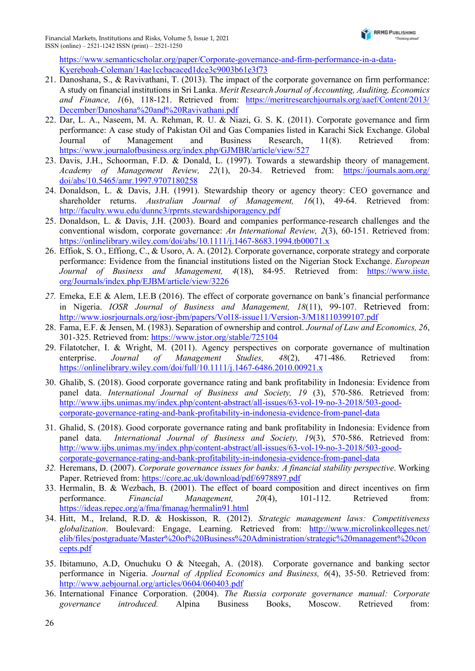https://www.semanticscholar.org/paper/Corporate-governance-and-firm-performance-in-a-data-Kyereboah-Coleman/14ae1ccbacaced1dce3c9003b61e3f73

- 21. Danoshana, S., & Ravivathani, T. (2013). The impact of the corporate governance on firm performance: A study on financial institutions in Sri Lanka. Merit Research Journal of Accounting, Auditing, Economics and Finance, 1(6), 118-121. Retrieved from: https://meritresearchjournals.org/aaef/Content/2013/ December/Danoshana%20and%20Ravivathani.pdf
- 22. Dar, L. A., Naseem, M. A. Rehman, R. U. & Niazi, G. S. K. (2011). Corporate governance and firm performance: A case study of Pakistan Oil and Gas Companies listed in Karachi Sick Exchange. Global Journal of Management and Business Research, 11(8). Retrieved from: https://www.journalofbusiness.org/index.php/GJMBR/article/view/527
- 23. Davis, J.H., Schoorman, F.D. & Donald, L. (1997). Towards a stewardship theory of management. Academy of Management Review, 22(1), 20-34. Retrieved from: https://journals.aom.org/ doi/abs/10.5465/amr.1997.9707180258
- 24. Donaldson, L. & Davis, J.H. (1991). Stewardship theory or agency theory: CEO governance and shareholder returns. Australian Journal of Management, 16(1), 49-64. Retrieved from: http://faculty.wwu.edu/dunnc3/rprnts.stewardshiporagency.pdf
- 25. Donaldson, L. & Davis, J.H. (2003). Board and companies performance-research challenges and the conventional wisdom, corporate governance: An International Review, 2(3), 60-151. Retrieved from: https://onlinelibrary.wiley.com/doi/abs/10.1111/j.1467-8683.1994.tb00071.x
- 26. Effiok, S. O., Effiong, C., & Usoro, A. A. (2012). Corporate governance, corporate strategy and corporate performance: Evidence from the financial institutions listed on the Nigerian Stock Exchange. European Journal of Business and Management, 4(18), 84-95. Retrieved from: https://www.iiste. org/Journals/index.php/EJBM/article/view/3226
- 27. Emeka, E.E & Alem, I.E.B (2016). The effect of corporate governance on bank's financial performance in Nigeria. IOSR Journal of Business and Management, 18(11), 99-107. Retrieved from: http://www.iosrjournals.org/iosr-jbm/papers/Vol18-issue11/Version-3/M18110399107.pdf
- 28. Fama, E.F. & Jensen, M. (1983). Separation of ownership and control. Journal of Law and Economics, 26, 301-325. Retrieved from: https://www.jstor.org/stable/725104
- 29. Filatotcher, I. & Wright, M. (2011). Agency perspectives on corporate governance of multination enterprise. *Journal of Management Studies*, 48(2), 471-486. Retrieved from: https://onlinelibrary.wiley.com/doi/full/10.1111/j.1467-6486.2010.00921.x
- 30. Ghalib, S. (2018). Good corporate governance rating and bank profitability in Indonesia: Evidence from panel data. International Journal of Business and Society, 19 (3), 570-586. Retrieved from: http://www.ijbs.unimas.my/index.php/content-abstract/all-issues/63-vol-19-no-3-2018/503-goodcorporate-governance-rating-and-bank-profitability-in-indonesia-evidence-from-panel-data
- 31. Ghalid, S. (2018). Good corporate governance rating and bank profitability in Indonesia: Evidence from panel data. *International Journal of Business and Society, 19*(3), 570-586. Retrieved from: http://www.ijbs.unimas.my/index.php/content-abstract/all-issues/63-vol-19-no-3-2018/503-goodcorporate-governance-rating-and-bank-profitability-in-indonesia-evidence-from-panel-data
- 32. Heremans, D. (2007). Corporate governance issues for banks: A financial stability perspective. Working Paper. Retrieved from: https://core.ac.uk/download/pdf/6978897.pdf
- 33. Hermalin, B. & Wezbach, B. (2001). The effect of board composition and direct incentives on firm performance. Financial Management, 20(4), 101-112. Retrieved from: https://ideas.repec.org/a/fma/fmanag/hermalin91.html
- 34. Hitt, M., Ireland, R.D. & Hoskisson, R. (2012). Strategic management laws: Competitiveness globalization. Boulevard: Engage, Learning. Retrieved from: http://www.microlinkcolleges.net/ elib/files/postgraduate/Master%20of%20Business%20Administration/strategic%20management%20con cepts.pdf
- 35. Ibitamuno, A.D, Onuchuku O & Nteegah, A. (2018). Corporate governance and banking sector performance in Nigeria. Journal of Applied Economics and Business, 6(4), 35-50. Retrieved from: http://www.aebjournal.org/articles/0604/060403.pdf
- 36. International Finance Corporation. (2004). The Russia corporate governance manual: Corporate governance introduced. Alpina Business Books, Moscow. Retrieved from: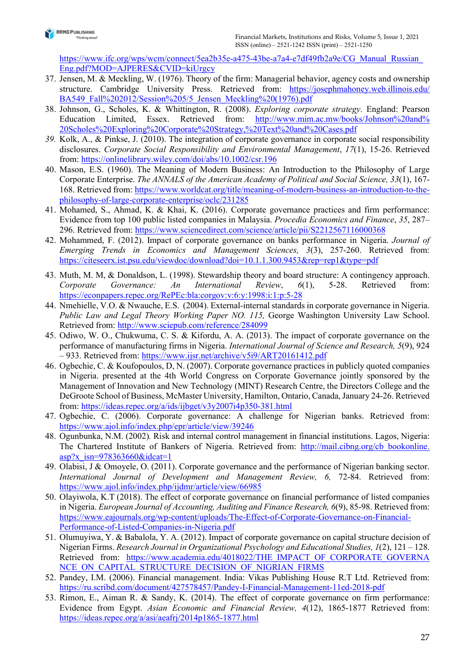

https://www.ifc.org/wps/wcm/connect/5ea2b35e-a475-43be-a7a4-e7df49fb2a9e/CG\_Manual\_Russian\_ Eng.pdf?MOD=AJPERES&CVID=kiUrgcy

- 37. Jensen, M. & Meckling, W. (1976). Theory of the firm: Managerial behavior, agency costs and ownership structure. Cambridge University Press. Retrieved from: https://josephmahoney.web.illinois.edu/ BA549\_Fall%202012/Session%205/5\_Jensen\_Meckling%20(1976).pdf
- 38. Johnson, G., Scholes, K. & Whittington, R. (2008). Exploring corporate strategy. England: Pearson Education Limited, Essex. Retrieved from: http://www.mim.ac.mw/books/Johnson%20and% 20Scholes%20Exploring%20Corporate%20Strategy,%20Text%20and%20Cases.pdf
- 39. Kolk, A., & Pinkse, J. (2010). The integration of corporate governance in corporate social responsibility disclosures. Corporate Social Responsibility and Environmental Management, 17(1), 15-26. Retrieved from: https://onlinelibrary.wiley.com/doi/abs/10.1002/csr.196
- 40. Mason, E.S. (1960). The Meaning of Modern Business: An Introduction to the Philosophy of Large Corporate Enterprise. The ANNALS of the American Academy of Political and Social Science, 33(1), 167- 168. Retrieved from: https://www.worldcat.org/title/meaning-of-modern-business-an-introduction-to-thephilosophy-of-large-corporate-enterprise/oclc/231285
- 41. Mohamed, S., Ahmad, K. & Khai, K. (2016). Corporate governance practices and firm performance: Evidence from top 100 public listed companies in Malaysia. Procedia Economics and Finance, 35, 287– 296. Retrieved from: https://www.sciencedirect.com/science/article/pii/S2212567116000368
- 42. Mohammed, F. (2012). Impact of corporate governance on banks performance in Nigeria. Journal of Emerging Trends in Economics and Management Sciences, 3(3), 257-260. Retrieved from: https://citeseerx.ist.psu.edu/viewdoc/download?doi=10.1.1.300.9453&rep=rep1&type=pdf
- 43. Muth, M. M, & Donaldson, L. (1998). Stewardship theory and board structure: A contingency approach. Corporate Governance: An International Review, 6(1), 5-28. Retrieved from: https://econpapers.repec.org/RePEc:bla:corgov:v:6:y:1998:i:1:p:5-28
- 44. Nmehielle, V.O. & Nwauche, E.S. (2004). External-internal standards in corporate governance in Nigeria. Public Law and Legal Theory Working Paper NO. 115, George Washington University Law School. Retrieved from: http://www.sciepub.com/reference/284099
- 45. Odiwo, W. O., Chukwuma, C. S. & Kifordu, A. A. (2013). The impact of corporate governance on the performance of manufacturing firms in Nigeria. International Journal of Science and Research, 5(9), 924 – 933. Retrieved from: https://www.ijsr.net/archive/v5i9/ART20161412.pdf
- 46. Ogbechie, C. & Koufopoulos, D, N. (2007). Corporate governance practices in publicly quoted companies in Nigeria. presented at the 4th World Congress on Corporate Governance jointly sponsored by the Management of Innovation and New Technology (MINT) Research Centre, the Directors College and the DeGroote School of Business, McMaster University, Hamilton, Ontario, Canada, January 24-26. Retrieved from: https://ideas.repec.org/a/ids/ijbget/v3y2007i4p350-381.html
- 47. Ogbechie, C. (2006). Corporate governance: A challenge for Nigerian banks. Retrieved from: https://www.ajol.info/index.php/epr/article/view/39246
- 48. Ogunbunka, N.M. (2002). Risk and internal control management in financial institutions. Lagos, Nigeria: The Chartered Institute of Bankers of Nigeria. Retrieved from: http://mail.cibng.org/cb\_bookonline. asp?x\_isn=978363660&idcat=1
- 49. Olabisi, J & Omoyele, O. (2011). Corporate governance and the performance of Nigerian banking sector. International Journal of Development and Management Review, 6, 72-84. Retrieved from: https://www.ajol.info/index.php/ijdmr/article/view/66985
- 50. Olayiwola, K.T (2018). The effect of corporate governance on financial performance of listed companies in Nigeria. European Journal of Accounting, Auditing and Finance Research, 6(9), 85-98. Retrieved from: https://www.eajournals.org/wp-content/uploads/The-Effect-of-Corporate-Governance-on-Financial-Performance-of-Listed-Companies-in-Nigeria.pdf
- 51. Olumuyiwa, Y. & Babalola, Y. A. (2012). Impact of corporate governance on capital structure decision of Nigerian Firms. Research Journal in Organizational Psychology and Educational Studies, 1(2), 121 – 128. Retrieved from: https://www.academia.edu/4018022/THE\_IMPACT\_OF\_CORPORATE\_GOVERNA NCE ON CAPITAL STRUCTURE DECISION OF NIGRIAN FIRMS
- 52. Pandey, I.M. (2006). Financial management. India: Vikas Publishing House R.T Ltd. Retrieved from: https://ru.scribd.com/document/427578457/Pandey-I-Financial-Management-11ed-2018-pdf
- 53. Rimon, E., Aiman R. & Sandy, K. (2014). The effect of corporate governance on firm performance: Evidence from Egypt. Asian Economic and Financial Review, 4(12), 1865-1877 Retrieved from: https://ideas.repec.org/a/asi/aeafrj/2014p1865-1877.html